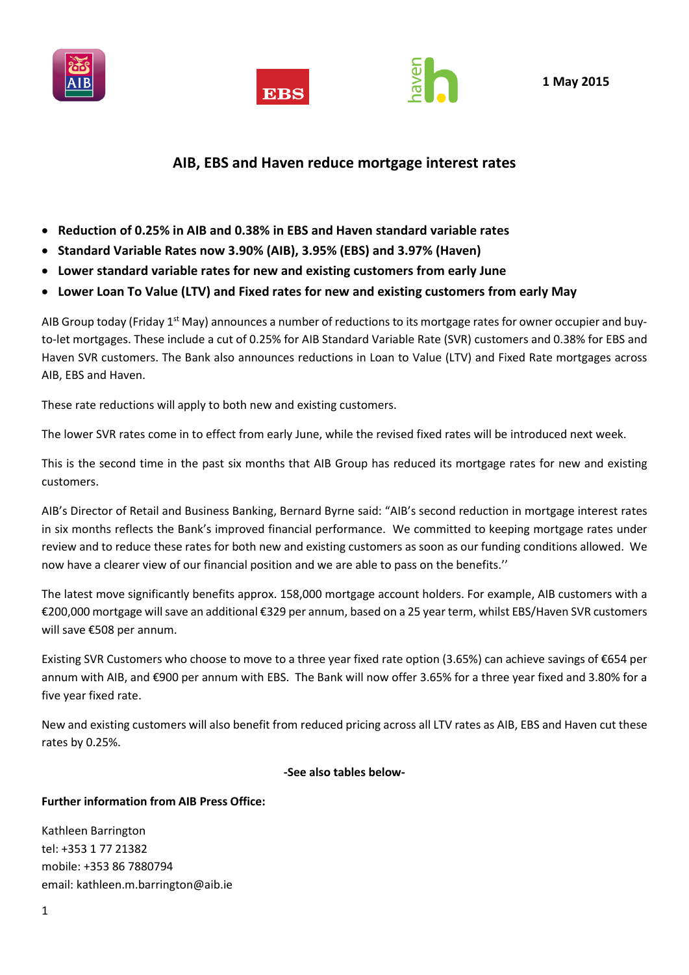





# **AIB, EBS and Haven reduce mortgage interest rates**

- **Reduction of 0.25% in AIB and 0.38% in EBS and Haven standard variable rates**
- **Standard Variable Rates now 3.90% (AIB), 3.95% (EBS) and 3.97% (Haven)**
- **Lower standard variable rates for new and existing customers from early June**
- **Lower Loan To Value (LTV) and Fixed rates for new and existing customers from early May**

AIB Group today (Friday 1<sup>st</sup> May) announces a number of reductions to its mortgage rates for owner occupier and buyto-let mortgages. These include a cut of 0.25% for AIB Standard Variable Rate (SVR) customers and 0.38% for EBS and Haven SVR customers. The Bank also announces reductions in Loan to Value (LTV) and Fixed Rate mortgages across AIB, EBS and Haven.

These rate reductions will apply to both new and existing customers.

The lower SVR rates come in to effect from early June, while the revised fixed rates will be introduced next week.

This is the second time in the past six months that AIB Group has reduced its mortgage rates for new and existing customers.

AIB's Director of Retail and Business Banking, Bernard Byrne said: "AIB's second reduction in mortgage interest rates in six months reflects the Bank's improved financial performance. We committed to keeping mortgage rates under review and to reduce these rates for both new and existing customers as soon as our funding conditions allowed. We now have a clearer view of our financial position and we are able to pass on the benefits.''

The latest move significantly benefits approx. 158,000 mortgage account holders. For example, AIB customers with a €200,000 mortgage will save an additional €329 per annum, based on a 25 year term, whilst EBS/Haven SVR customers will save €508 per annum.

Existing SVR Customers who choose to move to a three year fixed rate option (3.65%) can achieve savings of €654 per annum with AIB, and €900 per annum with EBS. The Bank will now offer 3.65% for a three year fixed and 3.80% for a five year fixed rate.

New and existing customers will also benefit from reduced pricing across all LTV rates as AIB, EBS and Haven cut these rates by 0.25%.

**-See also tables below-**

### **Further information from AIB Press Office:**

Kathleen Barrington tel: +353 1 77 21382 mobile: +353 86 7880794 email: [kathleen.m.barrington@aib.ie](mailto:kathleen.m.barrington@aib.ie)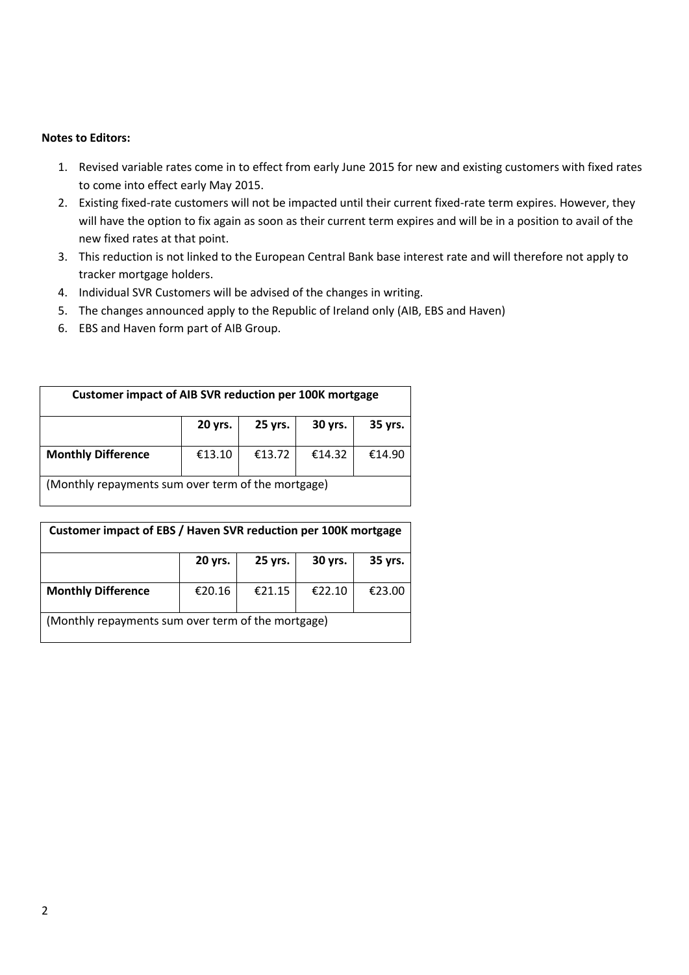#### **Notes to Editors:**

- 1. Revised variable rates come in to effect from early June 2015 for new and existing customers with fixed rates to come into effect early May 2015.
- 2. Existing fixed-rate customers will not be impacted until their current fixed-rate term expires. However, they will have the option to fix again as soon as their current term expires and will be in a position to avail of the new fixed rates at that point.
- 3. This reduction is not linked to the European Central Bank base interest rate and will therefore not apply to tracker mortgage holders.
- 4. Individual SVR Customers will be advised of the changes in writing.
- 5. The changes announced apply to the Republic of Ireland only (AIB, EBS and Haven)
- 6. EBS and Haven form part of AIB Group.

| <b>Customer impact of AIB SVR reduction per 100K mortgage</b> |         |         |         |         |  |  |  |
|---------------------------------------------------------------|---------|---------|---------|---------|--|--|--|
|                                                               | 20 yrs. | 25 yrs. | 30 yrs. | 35 yrs. |  |  |  |
| <b>Monthly Difference</b>                                     | €13.10  | €13.72  | €14.32  | €14.90  |  |  |  |
| (Monthly repayments sum over term of the mortgage)            |         |         |         |         |  |  |  |

| Customer impact of EBS / Haven SVR reduction per 100K mortgage |         |         |         |         |  |  |  |
|----------------------------------------------------------------|---------|---------|---------|---------|--|--|--|
|                                                                | 20 yrs. | 25 yrs. | 30 yrs. | 35 yrs. |  |  |  |
| <b>Monthly Difference</b>                                      | €20.16  | €21.15  | €22.10  | €23.00  |  |  |  |
| (Monthly repayments sum over term of the mortgage)             |         |         |         |         |  |  |  |